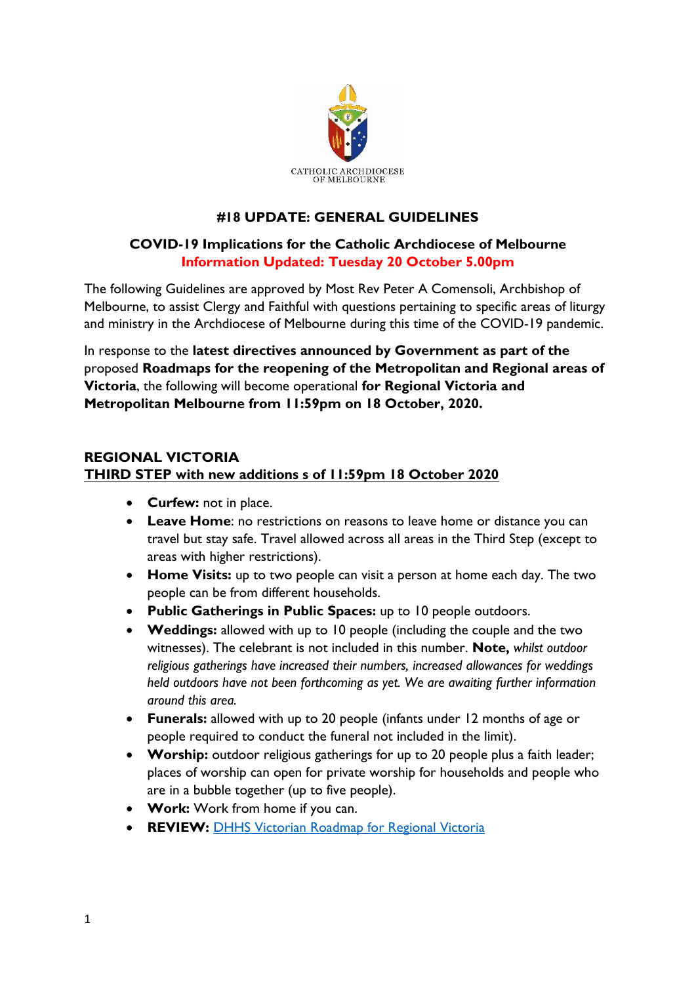

## **#18 UPDATE: GENERAL GUIDELINES**

### **COVID-19 Implications for the Catholic Archdiocese of Melbourne Information Updated: Tuesday 20 October 5.00pm**

The following Guidelines are approved by Most Rev Peter A Comensoli, Archbishop of Melbourne, to assist Clergy and Faithful with questions pertaining to specific areas of liturgy and ministry in the Archdiocese of Melbourne during this time of the COVID-19 pandemic.

In response to the **latest directives announced by Government as part of the**  proposed **Roadmaps for the reopening of the Metropolitan and Regional areas of Victoria**, the following will become operational **for Regional Victoria and Metropolitan Melbourne from 11:59pm on 18 October, 2020.**

### **REGIONAL VICTORIA THIRD STEP with new additions s of 11:59pm 18 October 2020**

- **Curfew:** not in place.
- **Leave Home**: no restrictions on reasons to leave home or distance you can travel but stay safe. Travel allowed across all areas in the Third Step (except to areas with higher restrictions).
- **Home Visits:** up to two people can visit a person at home each day. The two people can be from different households.
- **Public Gatherings in Public Spaces:** up to 10 people outdoors.
- **Weddings:** allowed with up to 10 people (including the couple and the two witnesses). The celebrant is not included in this number. **Note,** *whilst outdoor religious gatherings have increased their numbers, increased allowances for weddings held outdoors have not been forthcoming as yet. We are awaiting further information around this area.*
- **Funerals:** allowed with up to 20 people (infants under 12 months of age or people required to conduct the funeral not included in the limit).
- **Worship:** outdoor religious gatherings for up to 20 people plus a faith leader; places of worship can open for private worship for households and people who are in a bubble together (up to five people).
- **Work:** Work from home if you can.
- **REVIEW: [DHHS Victorian Roadmap for Regional Victoria](file:///C:/Users/acarrett/Downloads/Victoria-roadmap-for-reopening-how-we-live-Regional-Victoria_1.pdf)**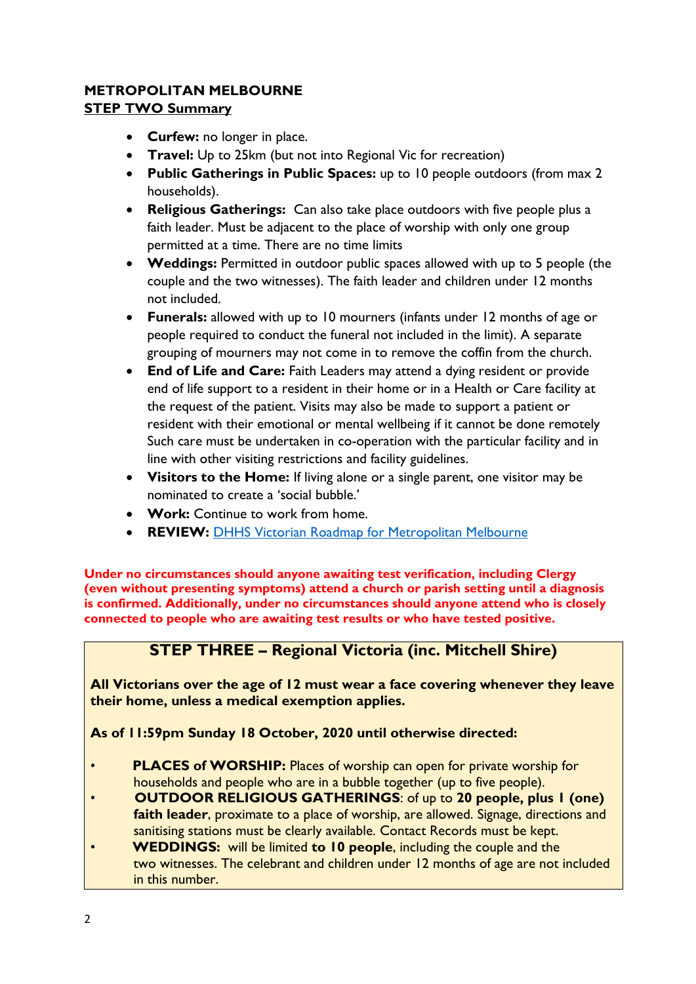## **METROPOLITAN MELBOURNE STEP TWO Summary**

- **Curfew:** no longer in place.
- **Travel:** Up to 25km (but not into Regional Vic for recreation)
- **Public Gatherings in Public Spaces:** up to 10 people outdoors (from max 2 households).
- **Religious Gatherings:** Can also take place outdoors with five people plus a faith leader. Must be adjacent to the place of worship with only one group permitted at a time. There are no time limits
- **Weddings:** Permitted in outdoor public spaces allowed with up to 5 people (the couple and the two witnesses). The faith leader and children under 12 months not included.
- **Funerals:** allowed with up to 10 mourners (infants under 12 months of age or people required to conduct the funeral not included in the limit). A separate grouping of mourners may not come in to remove the coffin from the church.
- **End of Life and Care:** Faith Leaders may attend a dying resident or provide end of life support to a resident in their home or in a Health or Care facility at the request of the patient. Visits may also be made to support a patient or resident with their emotional or mental wellbeing if it cannot be done remotely Such care must be undertaken in co-operation with the particular facility and in line with other visiting restrictions and facility guidelines.
- **Visitors to the Home:** If living alone or a single parent, one visitor may be nominated to create a 'social bubble.'
- **Work:** Continue to work from home.
- **REVIEW: [DHHS Victorian Roadmap for Metropolitan Melbourne](https://www.dhhs.vic.gov.au/second-step-restrictions-summary-metropolitan-melbourne-covid-19)**

**Under no circumstances should anyone awaiting test verification, including Clergy (even without presenting symptoms) attend a church or parish setting until a diagnosis is confirmed. Additionally, under no circumstances should anyone attend who is closely connected to people who are awaiting test results or who have tested positive.**

# **STEP THREE – Regional Victoria (inc. Mitchell Shire)**

**All Victorians over the age of 12 must wear a face covering whenever they leave their home, unless a medical exemption applies.**

**As of 11:59pm Sunday 18 October, 2020 until otherwise directed:**

- **PLACES of WORSHIP:** Places of worship can open for private worship for households and people who are in a bubble together (up to five people).
- **OUTDOOR RELIGIOUS GATHERINGS**: of up to **20 people, plus 1 (one) faith leader**, proximate to a place of worship, are allowed. Signage, directions and sanitising stations must be clearly available. Contact Records must be kept.
- **WEDDINGS:** will be limited **to 10 people**, including the couple and the two witnesses. The celebrant and children under 12 months of age are not included in this number.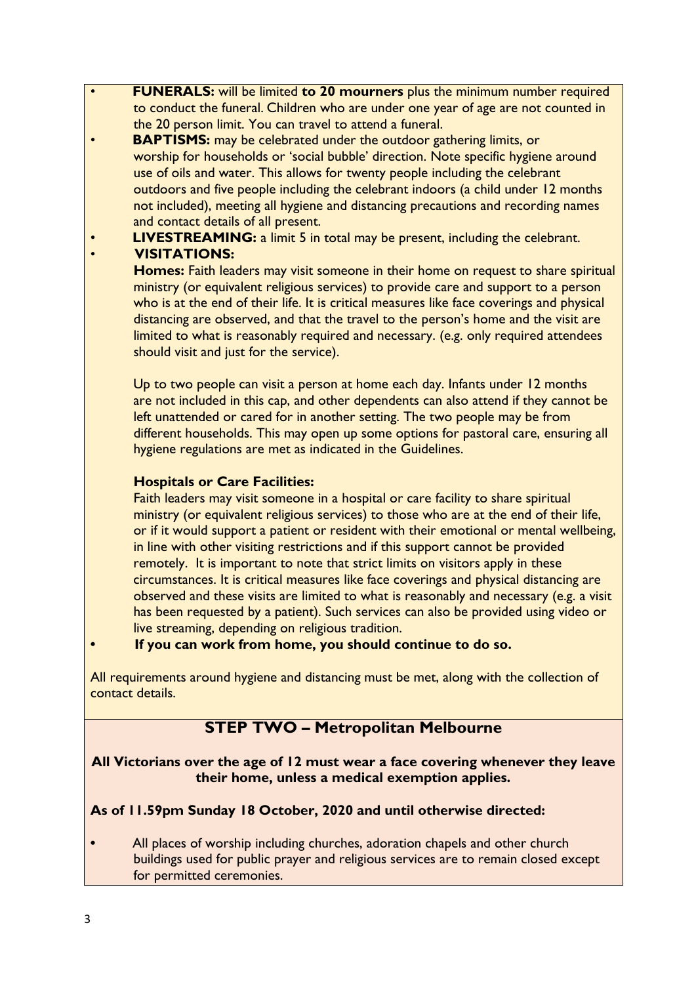- **FUNERALS:** will be limited **to 20 mourners** plus the minimum number required to conduct the funeral. Children who are under one year of age are not counted in the 20 person limit. You can travel to attend a funeral.
- **BAPTISMS:** may be celebrated under the outdoor gathering limits, or worship for households or 'social bubble' direction. Note specific hygiene around use of oils and water. This allows for twenty people including the celebrant outdoors and five people including the celebrant indoors (a child under 12 months not included), meeting all hygiene and distancing precautions and recording names and contact details of all present.
	- **LIVESTREAMING:** a limit 5 in total may be present, including the celebrant. • **VISITATIONS:**

 **Homes:** Faith leaders may visit someone in their home on request to share spiritual ministry (or equivalent religious services) to provide care and support to a person who is at the end of their life. It is critical measures like face coverings and physical distancing are observed, and that the travel to the person's home and the visit are limited to what is reasonably required and necessary. (e.g. only required attendees should visit and just for the service).

 Up to two people can visit a person at home each day. Infants under 12 months are not included in this cap, and other dependents can also attend if they cannot be left unattended or cared for in another setting. The two people may be from different households. This may open up some options for pastoral care, ensuring all hygiene regulations are met as indicated in the Guidelines.

### **Hospitals or Care Facilities:**

 Faith leaders may visit someone in a hospital or care facility to share spiritual ministry (or equivalent religious services) to those who are at the end of their life, or if it would support a patient or resident with their emotional or mental wellbeing, in line with other visiting restrictions and if this support cannot be provided remotely. It is important to note that strict limits on visitors apply in these circumstances. It is critical measures like face coverings and physical distancing are observed and these visits are limited to what is reasonably and necessary (e.g. a visit has been requested by a patient). Such services can also be provided using video or live streaming, depending on religious tradition.

#### **• If you can work from home, you should continue to do so.**

All requirements around hygiene and distancing must be met, along with the collection of contact details.

# **STEP TWO – Metropolitan Melbourne**

**All Victorians over the age of 12 must wear a face covering whenever they leave their home, unless a medical exemption applies.**

### **As of 11.59pm Sunday 18 October, 2020 and until otherwise directed:**

**•** All places of worship including churches, adoration chapels and other church buildings used for public prayer and religious services are to remain closed except for permitted ceremonies.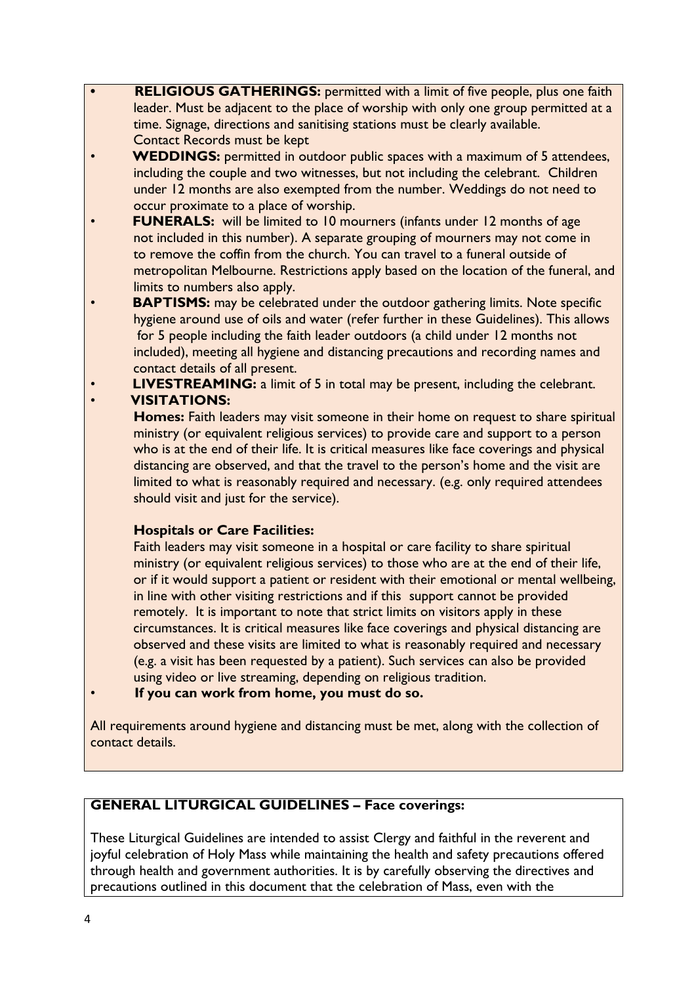- **• RELIGIOUS GATHERINGS:** permitted with a limit of five people, plus one faith leader. Must be adjacent to the place of worship with only one group permitted at a time. Signage, directions and sanitising stations must be clearly available. Contact Records must be kept
- **WEDDINGS:** permitted in outdoor public spaces with a maximum of 5 attendees, including the couple and two witnesses, but not including the celebrant. Children under 12 months are also exempted from the number. Weddings do not need to occur proximate to a place of worship.
- **FUNERALS:** will be limited to 10 mourners (infants under 12 months of age not included in this number). A separate grouping of mourners may not come in to remove the coffin from the church. You can travel to a funeral outside of metropolitan Melbourne. Restrictions apply based on the location of the funeral, and limits to numbers also apply.
- **BAPTISMS:** may be celebrated under the outdoor gathering limits. Note specific hygiene around use of oils and water (refer further in these Guidelines). This allows for 5 people including the faith leader outdoors (a child under 12 months not included), meeting all hygiene and distancing precautions and recording names and contact details of all present.
- **LIVESTREAMING:** a limit of 5 in total may be present, including the celebrant.

• **VISITATIONS:**

 **Homes:** Faith leaders may visit someone in their home on request to share spiritual ministry (or equivalent religious services) to provide care and support to a person who is at the end of their life. It is critical measures like face coverings and physical distancing are observed, and that the travel to the person's home and the visit are limited to what is reasonably required and necessary. (e.g. only required attendees should visit and just for the service).

### **Hospitals or Care Facilities:**

 Faith leaders may visit someone in a hospital or care facility to share spiritual ministry (or equivalent religious services) to those who are at the end of their life, or if it would support a patient or resident with their emotional or mental wellbeing, in line with other visiting restrictions and if this support cannot be provided remotely. It is important to note that strict limits on visitors apply in these circumstances. It is critical measures like face coverings and physical distancing are observed and these visits are limited to what is reasonably required and necessary (e.g. a visit has been requested by a patient). Such services can also be provided using video or live streaming, depending on religious tradition.

• **If you can work from home, you must do so.**

All requirements around hygiene and distancing must be met, along with the collection of contact details.

## **GENERAL LITURGICAL GUIDELINES – Face coverings:**

These Liturgical Guidelines are intended to assist Clergy and faithful in the reverent and joyful celebration of Holy Mass while maintaining the health and safety precautions offered through health and government authorities. It is by carefully observing the directives and precautions outlined in this document that the celebration of Mass, even with the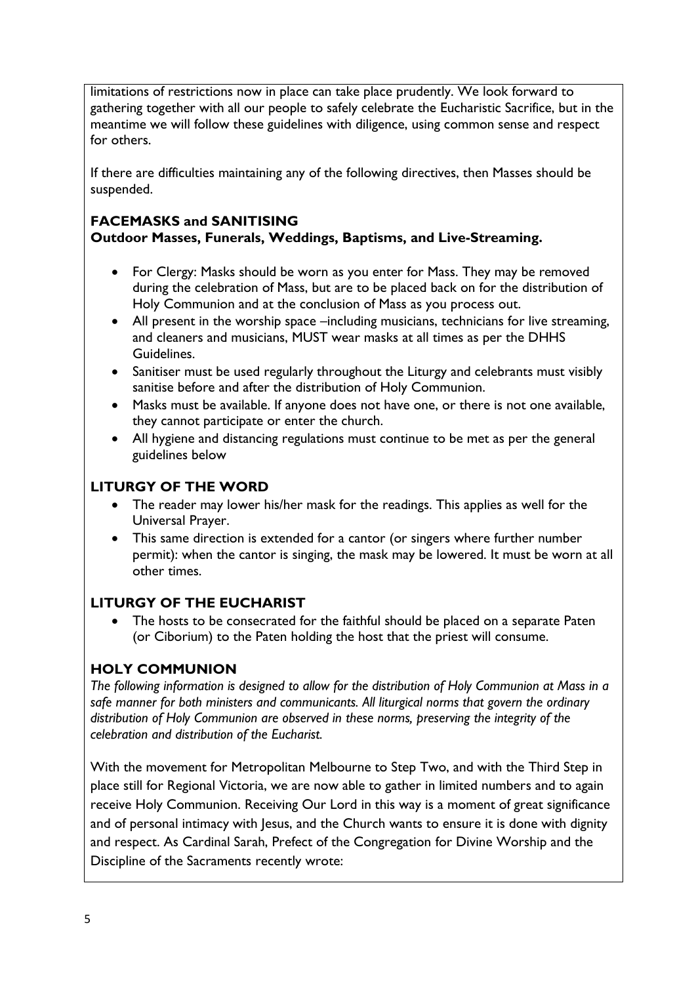limitations of restrictions now in place can take place prudently. We look forward to gathering together with all our people to safely celebrate the Eucharistic Sacrifice, but in the meantime we will follow these guidelines with diligence, using common sense and respect for others.

If there are difficulties maintaining any of the following directives, then Masses should be suspended.

#### **FACEMASKS and SANITISING Outdoor Masses, Funerals, Weddings, Baptisms, and Live-Streaming.**

- For Clergy: Masks should be worn as you enter for Mass. They may be removed during the celebration of Mass, but are to be placed back on for the distribution of Holy Communion and at the conclusion of Mass as you process out.
- All present in the worship space –including musicians, technicians for live streaming, and cleaners and musicians, MUST wear masks at all times as per the DHHS Guidelines.
- Sanitiser must be used regularly throughout the Liturgy and celebrants must visibly sanitise before and after the distribution of Holy Communion.
- Masks must be available. If anyone does not have one, or there is not one available, they cannot participate or enter the church.
- All hygiene and distancing regulations must continue to be met as per the general guidelines below

# **LITURGY OF THE WORD**

- The reader may lower his/her mask for the readings. This applies as well for the Universal Prayer.
- This same direction is extended for a cantor (or singers where further number permit): when the cantor is singing, the mask may be lowered. It must be worn at all other times.

## **LITURGY OF THE EUCHARIST**

• The hosts to be consecrated for the faithful should be placed on a separate Paten (or Ciborium) to the Paten holding the host that the priest will consume.

# **HOLY COMMUNION**

*The following information is designed to allow for the distribution of Holy Communion at Mass in a safe manner for both ministers and communicants. All liturgical norms that govern the ordinary distribution of Holy Communion are observed in these norms, preserving the integrity of the celebration and distribution of the Eucharist.*

With the movement for Metropolitan Melbourne to Step Two, and with the Third Step in place still for Regional Victoria, we are now able to gather in limited numbers and to again receive Holy Communion. Receiving Our Lord in this way is a moment of great significance and of personal intimacy with Jesus, and the Church wants to ensure it is done with dignity and respect. As Cardinal Sarah, Prefect of the Congregation for Divine Worship and the Discipline of the Sacraments recently wrote: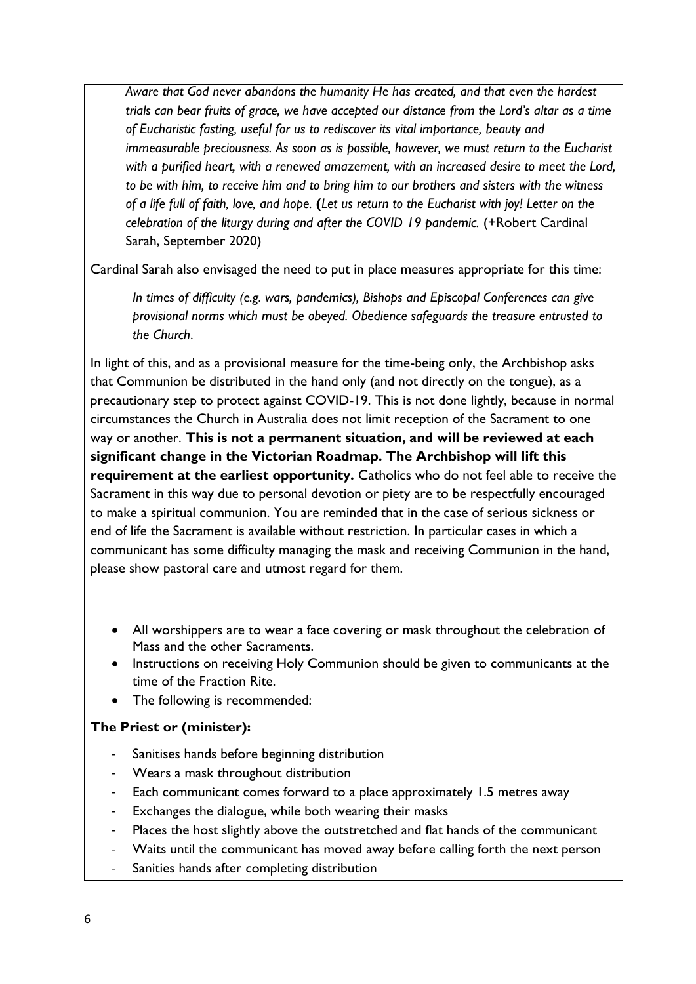*Aware that God never abandons the humanity He has created, and that even the hardest trials can bear fruits of grace, we have accepted our distance from the Lord's altar as a time of Eucharistic fasting, useful for us to rediscover its vital importance, beauty and immeasurable preciousness. As soon as is possible, however, we must return to the Eucharist with a purified heart, with a renewed amazement, with an increased desire to meet the Lord, to be with him, to receive him and to bring him to our brothers and sisters with the witness of a life full of faith, love, and hope.* **(***Let us return to the Eucharist with joy! Letter on the celebration of the liturgy during and after the COVID 19 pandemic.* (+Robert Cardinal Sarah, September 2020)

Cardinal Sarah also envisaged the need to put in place measures appropriate for this time:

*In times of difficulty (e.g. wars, pandemics), Bishops and Episcopal Conferences can give provisional norms which must be obeyed. Obedience safeguards the treasure entrusted to the Church*.

In light of this, and as a provisional measure for the time-being only, the Archbishop asks that Communion be distributed in the hand only (and not directly on the tongue), as a precautionary step to protect against COVID-19. This is not done lightly, because in normal circumstances the Church in Australia does not limit reception of the Sacrament to one way or another. **This is not a permanent situation, and will be reviewed at each significant change in the Victorian Roadmap. The Archbishop will lift this requirement at the earliest opportunity.** Catholics who do not feel able to receive the Sacrament in this way due to personal devotion or piety are to be respectfully encouraged to make a spiritual communion. You are reminded that in the case of serious sickness or end of life the Sacrament is available without restriction. In particular cases in which a communicant has some difficulty managing the mask and receiving Communion in the hand, please show pastoral care and utmost regard for them.

- All worshippers are to wear a face covering or mask throughout the celebration of Mass and the other Sacraments.
- Instructions on receiving Holy Communion should be given to communicants at the time of the Fraction Rite.
- The following is recommended:

#### **The Priest or (minister):**

- Sanitises hands before beginning distribution
- Wears a mask throughout distribution
- Each communicant comes forward to a place approximately 1.5 metres away
- Exchanges the dialogue, while both wearing their masks
- Places the host slightly above the outstretched and flat hands of the communicant
- Waits until the communicant has moved away before calling forth the next person
- Sanities hands after completing distribution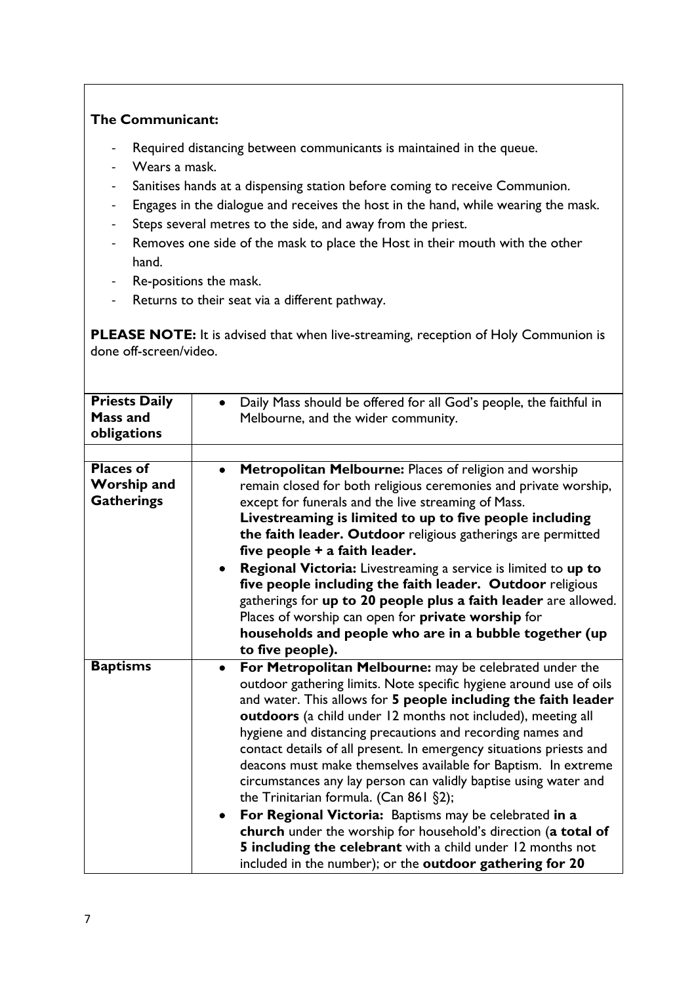### **The Communicant:**

- Required distancing between communicants is maintained in the queue.
- Wears a mask.
- Sanitises hands at a dispensing station before coming to receive Communion.
- Engages in the dialogue and receives the host in the hand, while wearing the mask.
- Steps several metres to the side, and away from the priest.
- Removes one side of the mask to place the Host in their mouth with the other hand.
- Re-positions the mask.
- Returns to their seat via a different pathway.

**PLEASE NOTE:** It is advised that when live-streaming, reception of Holy Communion is done off-screen/video.

| <b>Priests Daily</b><br><b>Mass and</b><br>obligations      | Daily Mass should be offered for all God's people, the faithful in<br>Melbourne, and the wider community.                                                                                                                                                                                                                                                                                                                                                                                                                                                                                                                                                                                                                                                                                                                                                            |
|-------------------------------------------------------------|----------------------------------------------------------------------------------------------------------------------------------------------------------------------------------------------------------------------------------------------------------------------------------------------------------------------------------------------------------------------------------------------------------------------------------------------------------------------------------------------------------------------------------------------------------------------------------------------------------------------------------------------------------------------------------------------------------------------------------------------------------------------------------------------------------------------------------------------------------------------|
|                                                             |                                                                                                                                                                                                                                                                                                                                                                                                                                                                                                                                                                                                                                                                                                                                                                                                                                                                      |
| <b>Places of</b><br><b>Worship and</b><br><b>Gatherings</b> | Metropolitan Melbourne: Places of religion and worship<br>$\bullet$<br>remain closed for both religious ceremonies and private worship,<br>except for funerals and the live streaming of Mass.<br>Livestreaming is limited to up to five people including<br>the faith leader. Outdoor religious gatherings are permitted<br>five people + a faith leader.<br>Regional Victoria: Livestreaming a service is limited to up to<br>five people including the faith leader. Outdoor religious<br>gatherings for up to 20 people plus a faith leader are allowed.<br>Places of worship can open for private worship for<br>households and people who are in a bubble together (up<br>to five people).                                                                                                                                                                     |
| <b>Baptisms</b>                                             | For Metropolitan Melbourne: may be celebrated under the<br>$\bullet$<br>outdoor gathering limits. Note specific hygiene around use of oils<br>and water. This allows for 5 people including the faith leader<br>outdoors (a child under 12 months not included), meeting all<br>hygiene and distancing precautions and recording names and<br>contact details of all present. In emergency situations priests and<br>deacons must make themselves available for Baptism. In extreme<br>circumstances any lay person can validly baptise using water and<br>the Trinitarian formula. (Can 861 §2);<br>For Regional Victoria: Baptisms may be celebrated in a<br>$\bullet$<br>church under the worship for household's direction (a total of<br>5 including the celebrant with a child under 12 months not<br>included in the number); or the outdoor gathering for 20 |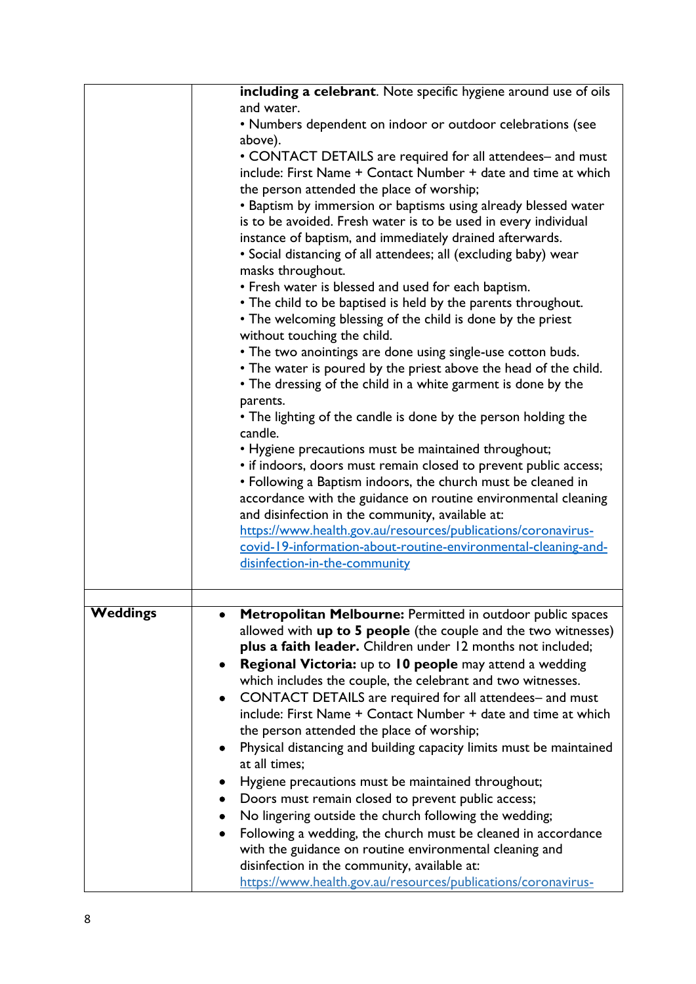|                 | including a celebrant. Note specific hygiene around use of oils     |
|-----------------|---------------------------------------------------------------------|
|                 | and water.                                                          |
|                 | • Numbers dependent on indoor or outdoor celebrations (see          |
|                 | above).                                                             |
|                 | • CONTACT DETAILS are required for all attendees- and must          |
|                 | include: First Name + Contact Number + date and time at which       |
|                 | the person attended the place of worship;                           |
|                 | • Baptism by immersion or baptisms using already blessed water      |
|                 | is to be avoided. Fresh water is to be used in every individual     |
|                 | instance of baptism, and immediately drained afterwards.            |
|                 | • Social distancing of all attendees; all (excluding baby) wear     |
|                 | masks throughout.                                                   |
|                 | • Fresh water is blessed and used for each baptism.                 |
|                 | • The child to be baptised is held by the parents throughout.       |
|                 | • The welcoming blessing of the child is done by the priest         |
|                 | without touching the child.                                         |
|                 | • The two anointings are done using single-use cotton buds.         |
|                 | • The water is poured by the priest above the head of the child.    |
|                 | • The dressing of the child in a white garment is done by the       |
|                 | parents.                                                            |
|                 | • The lighting of the candle is done by the person holding the      |
|                 | candle.                                                             |
|                 | • Hygiene precautions must be maintained throughout;                |
|                 | • if indoors, doors must remain closed to prevent public access;    |
|                 | • Following a Baptism indoors, the church must be cleaned in        |
|                 | accordance with the guidance on routine environmental cleaning      |
|                 | and disinfection in the community, available at:                    |
|                 | https://www.health.gov.au/resources/publications/coronavirus-       |
|                 | covid-19-information-about-routine-environmental-cleaning-and-      |
|                 | disinfection-in-the-community                                       |
|                 |                                                                     |
|                 |                                                                     |
| <b>Weddings</b> | Metropolitan Melbourne: Permitted in outdoor public spaces          |
|                 | allowed with up to 5 people (the couple and the two witnesses)      |
|                 | plus a faith leader. Children under 12 months not included;         |
|                 | Regional Victoria: up to 10 people may attend a wedding             |
|                 | which includes the couple, the celebrant and two witnesses.         |
|                 | CONTACT DETAILS are required for all attendees- and must            |
|                 | include: First Name + Contact Number + date and time at which       |
|                 | the person attended the place of worship;                           |
|                 | Physical distancing and building capacity limits must be maintained |
|                 | at all times;                                                       |
|                 | Hygiene precautions must be maintained throughout;                  |
|                 | Doors must remain closed to prevent public access;                  |
|                 | No lingering outside the church following the wedding;              |
|                 | Following a wedding, the church must be cleaned in accordance       |
|                 | with the guidance on routine environmental cleaning and             |
|                 | disinfection in the community, available at:                        |
|                 | https://www.health.gov.au/resources/publications/coronavirus-       |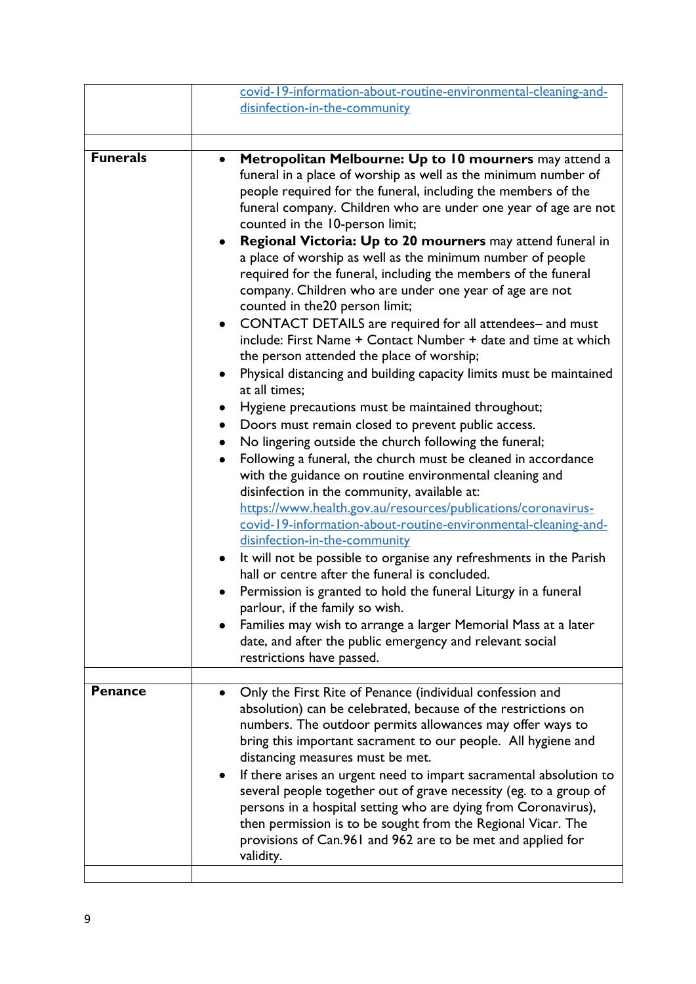| covid-19-information-about-routine-environmental-cleaning-and-<br>disinfection-in-the-community                                                                                                                                                                                                                                                                                                                                                                                                                                                                                                                                                                                                                                                                                                                                                                                                                                                                                                                                                                                                                                                                                                                                                                                                                                                                                                                                                                                                                                                                                                                                                                                                                                                                                  |
|----------------------------------------------------------------------------------------------------------------------------------------------------------------------------------------------------------------------------------------------------------------------------------------------------------------------------------------------------------------------------------------------------------------------------------------------------------------------------------------------------------------------------------------------------------------------------------------------------------------------------------------------------------------------------------------------------------------------------------------------------------------------------------------------------------------------------------------------------------------------------------------------------------------------------------------------------------------------------------------------------------------------------------------------------------------------------------------------------------------------------------------------------------------------------------------------------------------------------------------------------------------------------------------------------------------------------------------------------------------------------------------------------------------------------------------------------------------------------------------------------------------------------------------------------------------------------------------------------------------------------------------------------------------------------------------------------------------------------------------------------------------------------------|
|                                                                                                                                                                                                                                                                                                                                                                                                                                                                                                                                                                                                                                                                                                                                                                                                                                                                                                                                                                                                                                                                                                                                                                                                                                                                                                                                                                                                                                                                                                                                                                                                                                                                                                                                                                                  |
| Metropolitan Melbourne: Up to 10 mourners may attend a<br>funeral in a place of worship as well as the minimum number of<br>people required for the funeral, including the members of the<br>funeral company. Children who are under one year of age are not<br>counted in the 10-person limit;<br>Regional Victoria: Up to 20 mourners may attend funeral in<br>a place of worship as well as the minimum number of people<br>required for the funeral, including the members of the funeral<br>company. Children who are under one year of age are not<br>counted in the 20 person limit;<br>CONTACT DETAILS are required for all attendees- and must<br>include: First Name + Contact Number + date and time at which<br>the person attended the place of worship;<br>Physical distancing and building capacity limits must be maintained<br>at all times;<br>Hygiene precautions must be maintained throughout;<br>Doors must remain closed to prevent public access.<br>٠<br>No lingering outside the church following the funeral;<br>Following a funeral, the church must be cleaned in accordance<br>with the guidance on routine environmental cleaning and<br>disinfection in the community, available at:<br>https://www.health.gov.au/resources/publications/coronavirus-<br>covid-19-information-about-routine-environmental-cleaning-and-<br>disinfection-in-the-community<br>It will not be possible to organise any refreshments in the Parish<br>hall or centre after the funeral is concluded.<br>Permission is granted to hold the funeral Liturgy in a funeral<br>parlour, if the family so wish.<br>Families may wish to arrange a larger Memorial Mass at a later<br>date, and after the public emergency and relevant social<br>restrictions have passed. |
| Only the First Rite of Penance (individual confession and                                                                                                                                                                                                                                                                                                                                                                                                                                                                                                                                                                                                                                                                                                                                                                                                                                                                                                                                                                                                                                                                                                                                                                                                                                                                                                                                                                                                                                                                                                                                                                                                                                                                                                                        |
| absolution) can be celebrated, because of the restrictions on<br>numbers. The outdoor permits allowances may offer ways to<br>bring this important sacrament to our people. All hygiene and<br>distancing measures must be met.<br>If there arises an urgent need to impart sacramental absolution to<br>several people together out of grave necessity (eg. to a group of<br>persons in a hospital setting who are dying from Coronavirus),<br>then permission is to be sought from the Regional Vicar. The<br>provisions of Can.961 and 962 are to be met and applied for<br>validity.                                                                                                                                                                                                                                                                                                                                                                                                                                                                                                                                                                                                                                                                                                                                                                                                                                                                                                                                                                                                                                                                                                                                                                                         |
|                                                                                                                                                                                                                                                                                                                                                                                                                                                                                                                                                                                                                                                                                                                                                                                                                                                                                                                                                                                                                                                                                                                                                                                                                                                                                                                                                                                                                                                                                                                                                                                                                                                                                                                                                                                  |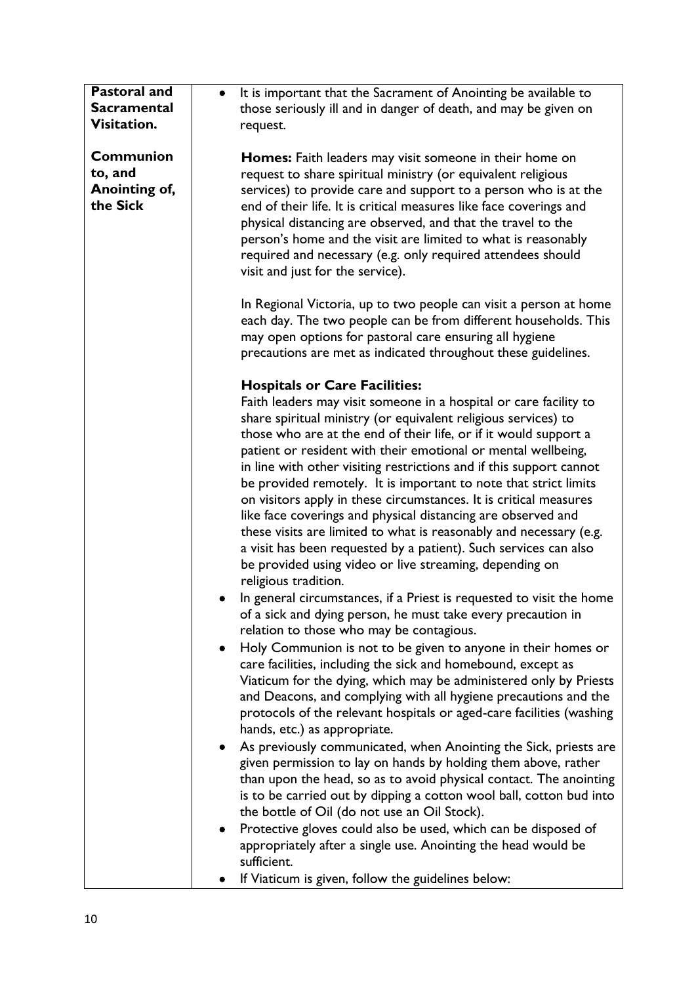| <b>Pastoral and</b> | It is important that the Sacrament of Anointing be available to<br>$\bullet$ |
|---------------------|------------------------------------------------------------------------------|
| <b>Sacramental</b>  | those seriously ill and in danger of death, and may be given on              |
| Visitation.         | request.                                                                     |
|                     |                                                                              |
| <b>Communion</b>    | Homes: Faith leaders may visit someone in their home on                      |
| to, and             | request to share spiritual ministry (or equivalent religious                 |
| Anointing of,       | services) to provide care and support to a person who is at the              |
| the Sick            | end of their life. It is critical measures like face coverings and           |
|                     | physical distancing are observed, and that the travel to the                 |
|                     | person's home and the visit are limited to what is reasonably                |
|                     | required and necessary (e.g. only required attendees should                  |
|                     | visit and just for the service).                                             |
|                     |                                                                              |
|                     |                                                                              |
|                     | In Regional Victoria, up to two people can visit a person at home            |
|                     | each day. The two people can be from different households. This              |
|                     | may open options for pastoral care ensuring all hygiene                      |
|                     | precautions are met as indicated throughout these guidelines.                |
|                     |                                                                              |
|                     | <b>Hospitals or Care Facilities:</b>                                         |
|                     | Faith leaders may visit someone in a hospital or care facility to            |
|                     | share spiritual ministry (or equivalent religious services) to               |
|                     | those who are at the end of their life, or if it would support a             |
|                     | patient or resident with their emotional or mental wellbeing,                |
|                     | in line with other visiting restrictions and if this support cannot          |
|                     | be provided remotely. It is important to note that strict limits             |
|                     | on visitors apply in these circumstances. It is critical measures            |
|                     | like face coverings and physical distancing are observed and                 |
|                     | these visits are limited to what is reasonably and necessary (e.g.           |
|                     | a visit has been requested by a patient). Such services can also             |
|                     | be provided using video or live streaming, depending on                      |
|                     | religious tradition.                                                         |
|                     | In general circumstances, if a Priest is requested to visit the home         |
|                     | of a sick and dying person, he must take every precaution in                 |
|                     | relation to those who may be contagious.                                     |
|                     | Holy Communion is not to be given to anyone in their homes or<br>$\bullet$   |
|                     | care facilities, including the sick and homebound, except as                 |
|                     | Viaticum for the dying, which may be administered only by Priests            |
|                     | and Deacons, and complying with all hygiene precautions and the              |
|                     | protocols of the relevant hospitals or aged-care facilities (washing         |
|                     | hands, etc.) as appropriate.                                                 |
|                     | As previously communicated, when Anointing the Sick, priests are<br>٠        |
|                     | given permission to lay on hands by holding them above, rather               |
|                     | than upon the head, so as to avoid physical contact. The anointing           |
|                     | is to be carried out by dipping a cotton wool ball, cotton bud into          |
|                     | the bottle of Oil (do not use an Oil Stock).                                 |
|                     | Protective gloves could also be used, which can be disposed of<br>٠          |
|                     | appropriately after a single use. Anointing the head would be                |
|                     | sufficient.                                                                  |
|                     | If Viaticum is given, follow the guidelines below:                           |